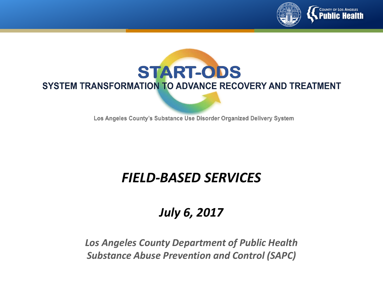



Los Angeles County's Substance Use Disorder Organized Delivery System

### *FIELD-BASED SERVICES*

#### *July 6, 2017*

*Los Angeles County Department of Public Health Substance Abuse Prevention and Control (SAPC)*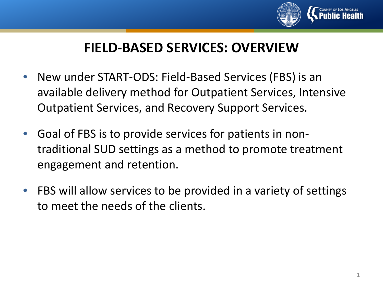

#### **FIELD-BASED SERVICES: OVERVIEW**

- New under START-ODS: Field-Based Services (FBS) is an available delivery method for Outpatient Services, Intensive Outpatient Services, and Recovery Support Services.
- Goal of FBS is to provide services for patients in nontraditional SUD settings as a method to promote treatment engagement and retention.
- FBS will allow services to be provided in a variety of settings to meet the needs of the clients.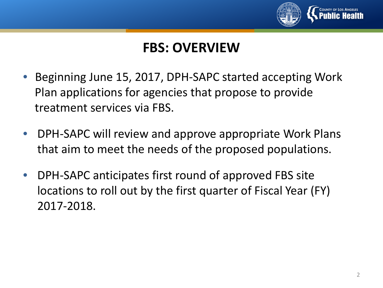

### **FBS: OVERVIEW**

- Beginning June 15, 2017, DPH-SAPC started accepting Work Plan applications for agencies that propose to provide treatment services via FBS.
- DPH-SAPC will review and approve appropriate Work Plans that aim to meet the needs of the proposed populations.
- DPH-SAPC anticipates first round of approved FBS site locations to roll out by the first quarter of Fiscal Year (FY) 2017-2018.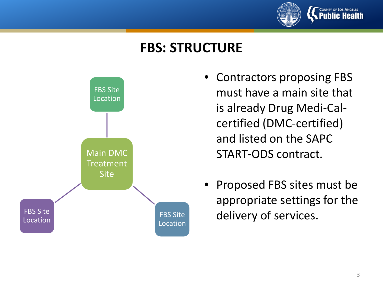

### **FBS: STRUCTURE**



- Contractors proposing FBS must have a main site that is already Drug Medi-Calcertified (DMC-certified) and listed on the SAPC START-ODS contract.
- Proposed FBS sites must be appropriate settings for the delivery of services.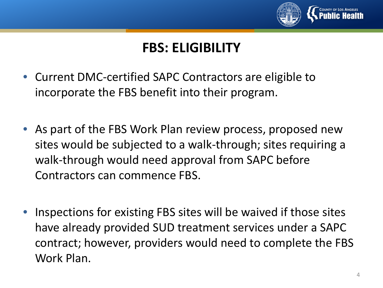

### **FBS: ELIGIBILITY**

- Current DMC-certified SAPC Contractors are eligible to incorporate the FBS benefit into their program.
- As part of the FBS Work Plan review process, proposed new sites would be subjected to a walk-through; sites requiring a walk-through would need approval from SAPC before Contractors can commence FBS.
- Inspections for existing FBS sites will be waived if those sites have already provided SUD treatment services under a SAPC contract; however, providers would need to complete the FBS Work Plan.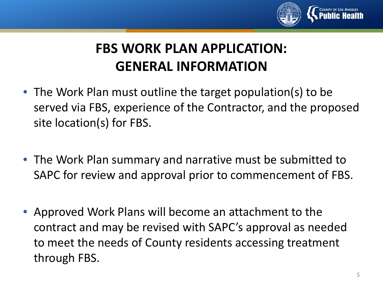

## **FBS WORK PLAN APPLICATION: GENERAL INFORMATION**

- The Work Plan must outline the target population(s) to be served via FBS, experience of the Contractor, and the proposed site location(s) for FBS.
- The Work Plan summary and narrative must be submitted to SAPC for review and approval prior to commencement of FBS.
- Approved Work Plans will become an attachment to the contract and may be revised with SAPC's approval as needed to meet the needs of County residents accessing treatment through FBS.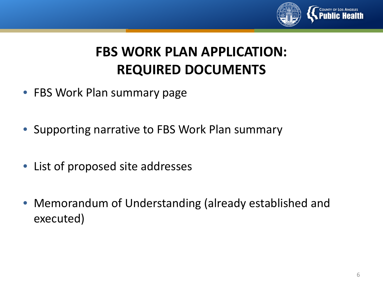

# **FBS WORK PLAN APPLICATION: REQUIRED DOCUMENTS**

- FBS Work Plan summary page
- Supporting narrative to FBS Work Plan summary
- List of proposed site addresses
- Memorandum of Understanding (already established and executed)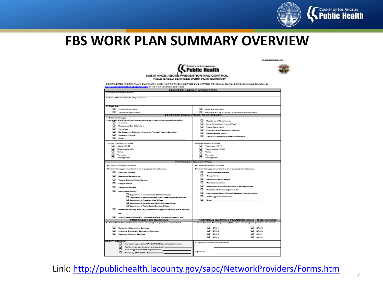

#### **FBS WORK PLAN SUMMARY OVERVIEW**



Attachment II



SUBSTANCE ABUSE PREVENTION AND CONTROL **FIELD-BASED SERVICES WORK I'LAN SUMMARY** 

CONPLETED WORK PLAN SUMMARY AND NARRATIVE MUST BE SUBMITTED TO: Daniel Denis, SAPC Contracts Division at SAP CMonischeribe bilecounts apr of via FAX at (929) 299-7226

| PROVIDER AGENCY INFORMATION                                                                                                                                                                                                                                                                                                                                                                                                                                                                                                                                                                                                                                                                                                                                                                |                                                                                                                                                                                                                                                                                                                                                                                                                                                     |
|--------------------------------------------------------------------------------------------------------------------------------------------------------------------------------------------------------------------------------------------------------------------------------------------------------------------------------------------------------------------------------------------------------------------------------------------------------------------------------------------------------------------------------------------------------------------------------------------------------------------------------------------------------------------------------------------------------------------------------------------------------------------------------------------|-----------------------------------------------------------------------------------------------------------------------------------------------------------------------------------------------------------------------------------------------------------------------------------------------------------------------------------------------------------------------------------------------------------------------------------------------------|
| 1. Program Pauling Name                                                                                                                                                                                                                                                                                                                                                                                                                                                                                                                                                                                                                                                                                                                                                                    |                                                                                                                                                                                                                                                                                                                                                                                                                                                     |
| 2. Now a DMC Carlinal Fundilly Arbitrace.                                                                                                                                                                                                                                                                                                                                                                                                                                                                                                                                                                                                                                                                                                                                                  |                                                                                                                                                                                                                                                                                                                                                                                                                                                     |
| 2. Chank and<br><b>Calculation Plan</b><br>n.<br><b>Busined Work Fire</b>                                                                                                                                                                                                                                                                                                                                                                                                                                                                                                                                                                                                                                                                                                                  | <b>Call More Approximately</b><br><b>Q</b> Public PT H IT EAPC Approval Service Lite                                                                                                                                                                                                                                                                                                                                                                |
| PROPOSED POPULATIONS TO BE SERVED.                                                                                                                                                                                                                                                                                                                                                                                                                                                                                                                                                                                                                                                                                                                                                         |                                                                                                                                                                                                                                                                                                                                                                                                                                                     |
| L-Chamball Patienter                                                                                                                                                                                                                                                                                                                                                                                                                                                                                                                                                                                                                                                                                                                                                                       |                                                                                                                                                                                                                                                                                                                                                                                                                                                     |
| (must allow) a brief memoire of agency suggerience in inseling the gregorant paguintien).<br>□ Anarchia<br><b>D</b> Registered Sec Offenders<br><b>D</b> Hampless<br><sup>1</sup> Car-Concerting Chamber (Martial or Physical Kindish Comittion)<br><b>Call Manifestic Program</b><br>⊡⊶⊶∟                                                                                                                                                                                                                                                                                                                                                                                                                                                                                                 | <b>Call Residents of Runal Assoc</b><br><b>Contract in Austine Secretary Paulis</b><br><b>Ellis Paulan Cara Vaulo</b><br><sup>1</sup> Program and Pastgarton Warrant<br><b>B</b> School-Bound Vauch<br>Vació la Alternativa Sabani Plasarraria.                                                                                                                                                                                                     |
| <b>ABULT FORULATIONS</b><br>⊡ мын эне<br><b>City Chevrolet Adventure</b><br><b>Di Males</b><br><b>Difference</b><br><b>D</b> Transportion                                                                                                                                                                                                                                                                                                                                                                                                                                                                                                                                                                                                                                                  | <b>VOLTH POPULATIONS</b><br><b>Co., Yasih aga, 12-17</b><br><sup>2</sup> Young Adults, 1960<br>ுக்க<br>D. Araba<br><b>D</b> Temperate                                                                                                                                                                                                                                                                                                               |
| PROPOSED FOS SETTINGS                                                                                                                                                                                                                                                                                                                                                                                                                                                                                                                                                                                                                                                                                                                                                                      |                                                                                                                                                                                                                                                                                                                                                                                                                                                     |
| <b>By ABULT FORULATIONS</b><br>Chestinal that aggly: (must alleah a fail of gregoussilatio soldmasses)<br><b>El Antonio Germani</b><br><b>D</b> Section Conseilings<br><b>D.</b> Parked Conflict Health Centers<br>□ Segitimates<br><b>D.</b> Severally arrive<br><b>El tento prime County</b><br><b>Biogenerial Mental Health (2004) allowable</b><br><b>El Cagarimeri el Hasile Services (CHE) sinosignegami es las llites</b><br><b>Biogenerial Polatic Are Office</b><br><sup>1</sup> Department of Children and Partly Services Offices.<br><sup>1</sup> Department of Public Sector Services Offices<br>$\Box$ Permanent Heading State (E.g., permanent supportive heading, guide heading,<br>da).<br>$\Box$ Heritz Hawing Size (E.g., Formisse shelters, installered hawing, six.). | <b>BL. YOUTH POPULATIONS</b><br>Chestinal that apply: (must alleah a failed prepared alle settimazes)<br><b>Call Youth homeless shallens</b><br>□ Geopheras<br><b>D</b> Community furthy method<br><b>D. According Lawrence</b><br><b>Gegenhavening Children and Partity Services Citizens</b><br><b>D.</b> Proteins of an description is the<br>D Las Argeles County Office of Biscopher Alemanics sites<br><b>El 245 agosto interiores</b><br>⊡⊶⊶ |
| <b>HIGHORSED FREE SERVICES</b>                                                                                                                                                                                                                                                                                                                                                                                                                                                                                                                                                                                                                                                                                                                                                             | PROPOSED SERVICES PLANNING AREA TO BE SERVED                                                                                                                                                                                                                                                                                                                                                                                                        |
| . What I hald Kasaal Kuryhan, deur floo pragmam properus ta provident<br><b>Q</b> Delgation Counseling Services<br><b>Q</b> Interactor Colgariant Counseling Senders<br><b>B. Summey Support Services</b><br><b>CONTRACTOR ESPECTE</b>                                                                                                                                                                                                                                                                                                                                                                                                                                                                                                                                                     | What Survive Planning Ama (SPA) three the program propose to serv<br>⊡ anski<br>⊟ знас<br>⊟ ess<br>⊟ arse<br>பை<br><b>DI BRAT</b><br>El anos<br>D awa                                                                                                                                                                                                                                                                                               |
| 1 West glassgymmitty DRHSAPC 200 genting builty reduc-<br>D. Furthy makes surgicial an antiagground _<br><b>Q</b> Calculage and for PES implementation _                                                                                                                                                                                                                                                                                                                                                                                                                                                                                                                                                                                                                                   | 5. Against Authorized Individual.                                                                                                                                                                                                                                                                                                                                                                                                                   |
| <b>B</b> Centerly DRY-ELFG. Research deviate                                                                                                                                                                                                                                                                                                                                                                                                                                                                                                                                                                                                                                                                                                                                               | <b>Eignations</b>                                                                                                                                                                                                                                                                                                                                                                                                                                   |

Link:<http://publichealth.lacounty.gov/sapc/NetworkProviders/Forms.htm>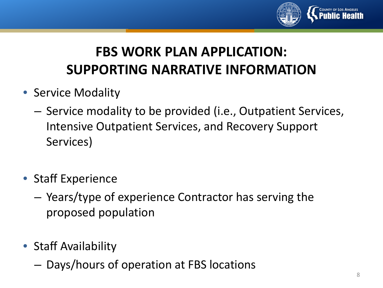

# **FBS WORK PLAN APPLICATION: SUPPORTING NARRATIVE INFORMATION**

- Service Modality
	- Service modality to be provided (i.e., Outpatient Services, Intensive Outpatient Services, and Recovery Support Services)
- Staff Experience
	- Years/type of experience Contractor has serving the proposed population
- Staff Availability
	- Days/hours of operation at FBS locations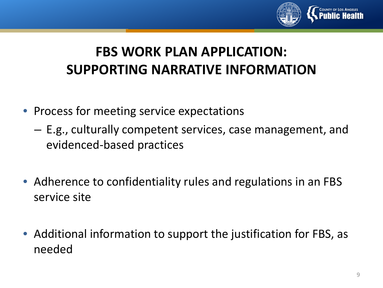

# **FBS WORK PLAN APPLICATION: SUPPORTING NARRATIVE INFORMATION**

- Process for meeting service expectations
	- E.g., culturally competent services, case management, and evidenced-based practices
- Adherence to confidentiality rules and regulations in an FBS service site
- Additional information to support the justification for FBS, as needed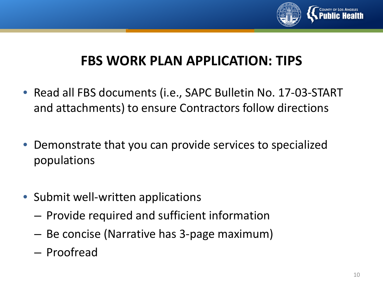

### **FBS WORK PLAN APPLICATION: TIPS**

- Read all FBS documents (i.e., SAPC Bulletin No. 17-03-START and attachments) to ensure Contractors follow directions
- Demonstrate that you can provide services to specialized populations
- Submit well-written applications
	- Provide required and sufficient information
	- Be concise (Narrative has 3-page maximum)
	- Proofread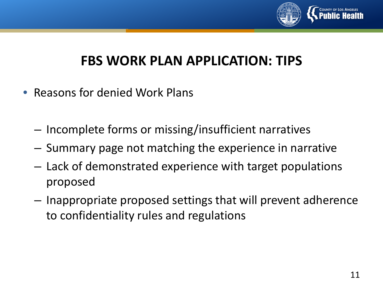

### **FBS WORK PLAN APPLICATION: TIPS**

- Reasons for denied Work Plans
	- Incomplete forms or missing/insufficient narratives
	- Summary page not matching the experience in narrative
	- Lack of demonstrated experience with target populations proposed
	- Inappropriate proposed settings that will prevent adherence to confidentiality rules and regulations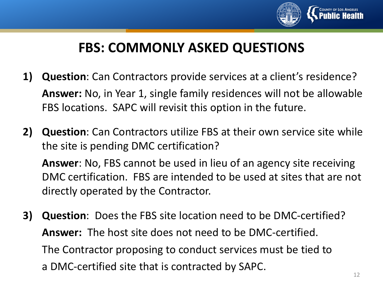

### **FBS: COMMONLY ASKED QUESTIONS**

- **1) Question**: Can Contractors provide services at a client's residence? **Answer:** No, in Year 1, single family residences will not be allowable FBS locations. SAPC will revisit this option in the future.
- **2) Question**: Can Contractors utilize FBS at their own service site while the site is pending DMC certification?

**Answer**: No, FBS cannot be used in lieu of an agency site receiving DMC certification. FBS are intended to be used at sites that are not directly operated by the Contractor.

**3) Question**: Does the FBS site location need to be DMC-certified? **Answer:** The host site does not need to be DMC-certified. The Contractor proposing to conduct services must be tied to a DMC-certified site that is contracted by SAPC.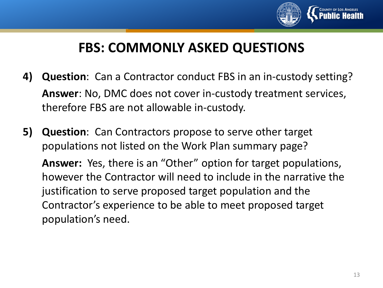

### **FBS: COMMONLY ASKED QUESTIONS**

- **4) Question**: Can a Contractor conduct FBS in an in-custody setting? **Answer**: No, DMC does not cover in-custody treatment services, therefore FBS are not allowable in-custody.
- **5) Question**: Can Contractors propose to serve other target populations not listed on the Work Plan summary page?

**Answer:** Yes, there is an "Other" option for target populations, however the Contractor will need to include in the narrative the justification to serve proposed target population and the Contractor's experience to be able to meet proposed target population's need.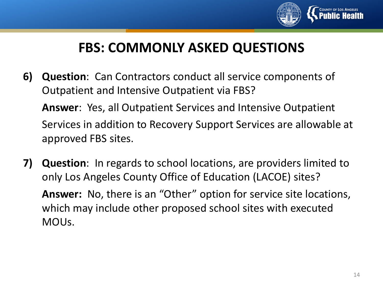

### **FBS: COMMONLY ASKED QUESTIONS**

- **6) Question**: Can Contractors conduct all service components of Outpatient and Intensive Outpatient via FBS? **Answer**: Yes, all Outpatient Services and Intensive Outpatient Services in addition to Recovery Support Services are allowable at approved FBS sites.
- **7) Question**: In regards to school locations, are providers limited to only Los Angeles County Office of Education (LACOE) sites? **Answer:** No, there is an "Other" option for service site locations, which may include other proposed school sites with executed MOUs.